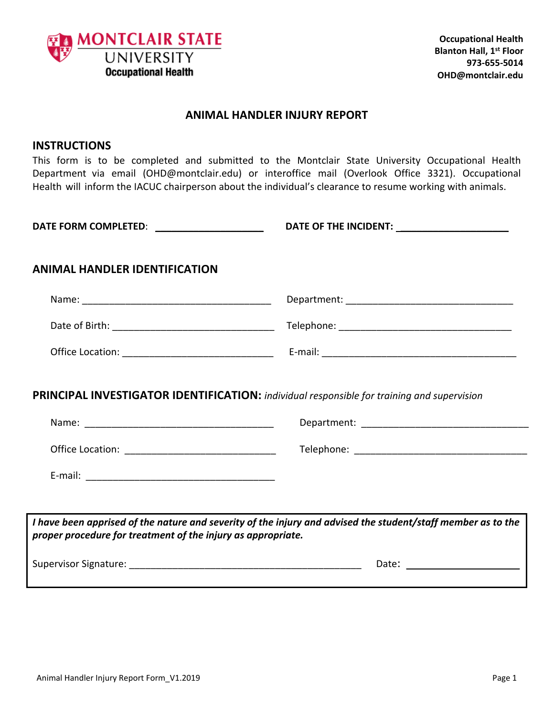

#### **ANIMAL HANDLER INJURY REPORT**

#### **INSTRUCTIONS**

This form is to be completed and submitted to the Montclair State University Occupational Health Department via email (OHD@montclair.edu) or interoffice mail (Overlook Office 3321). Occupational Health will inform the IACUC chairperson about the individual's clearance to resume working with animals.

**DATE FORM COMPLETED**: \_\_\_\_\_\_\_\_\_\_\_\_\_\_\_\_\_\_\_\_ **DATE OF THE INCIDENT:** \_\_\_\_\_\_\_\_\_\_\_\_\_\_\_\_\_\_\_\_

### **ANIMAL HANDLER IDENTIFICATION**

| Name:            | Department: |
|------------------|-------------|
| Date of Birth:   | Telephone:  |
| Office Location: | E-mail:     |

### **PRINCIPAL INVESTIGATOR IDENTIFICATION:** *individual responsible for training and supervision*

| Office Location: <u>__________________________</u>           |                                                                                                              |
|--------------------------------------------------------------|--------------------------------------------------------------------------------------------------------------|
|                                                              |                                                                                                              |
|                                                              |                                                                                                              |
| proper procedure for treatment of the injury as appropriate. | I have been apprised of the nature and severity of the injury and advised the student/staff member as to the |

Supervisor Signature: \_\_\_\_\_\_\_\_\_\_\_\_\_\_\_\_\_\_\_\_\_\_\_\_\_\_\_\_\_\_\_\_\_\_\_\_\_\_\_\_\_\_\_ Date: \_\_\_\_\_\_\_\_\_\_\_\_\_\_\_\_\_\_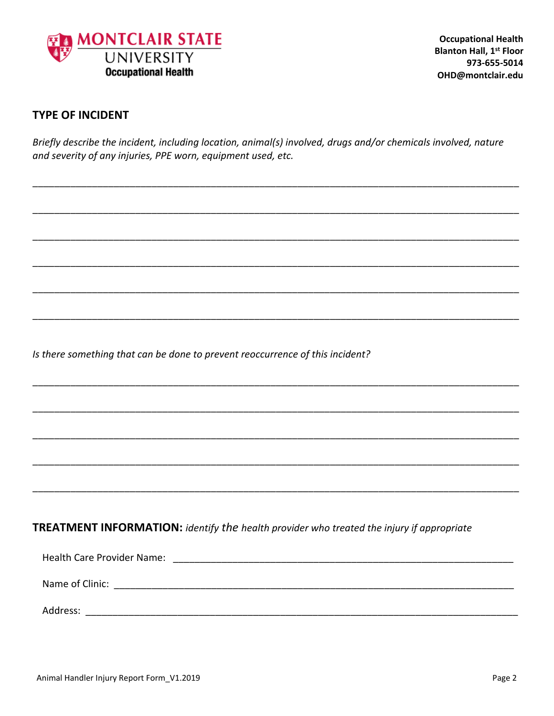

## **TYPE OF INCIDENT**

Briefly describe the incident, including location, animal(s) involved, drugs and/or chemicals involved, nature and severity of any injuries, PPE worn, equipment used, etc.

Is there something that can be done to prevent reoccurrence of this incident?

# **TREATMENT INFORMATION:** identify the health provider who treated the injury if appropriate

| <b>Health Care Provider Name:</b> |  |
|-----------------------------------|--|
| Name of Clinic:                   |  |
| Address:                          |  |